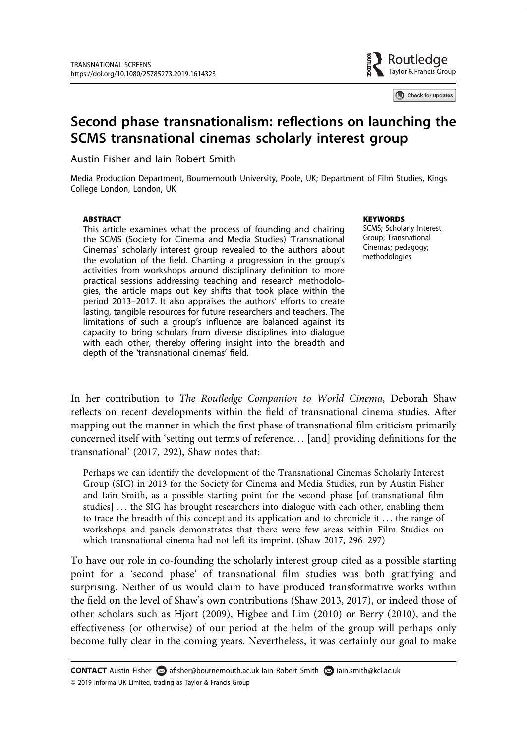

Check for updates

# Second phase transnationalism: reflections on launching the SCMS transnational cinemas scholarly interest group

Austin Fisher and Iain Robert Smith

Media Production Department, Bournemouth University, Poole, UK; Department of Film Studies, Kings College London, London, UK

#### **ABSTRACT**

This article examines what the process of founding and chairing the SCMS (Society for Cinema and Media Studies) 'Transnational Cinemas' scholarly interest group revealed to the authors about the evolution of the field. Charting a progression in the group's activities from workshops around disciplinary definition to more practical sessions addressing teaching and research methodologies, the article maps out key shifts that took place within the period 2013–2017. It also appraises the authors' efforts to create lasting, tangible resources for future researchers and teachers. The limitations of such a group's influence are balanced against its capacity to bring scholars from diverse disciplines into dialogue with each other, thereby offering insight into the breadth and depth of the 'transnational cinemas' field.

**KEYWORDS** 

SCMS; Scholarly Interest Group; Transnational Cinemas; pedagogy; methodologies

In her contribution to The Routledge Companion to World Cinema, Deborah Shaw reflects on recent developments within the field of transnational cinema studies. After mapping out the manner in which the first phase of transnational film criticism primarily concerned itself with 'setting out terms of reference. . . [and] providing definitions for the transnational' (2017, 292), Shaw notes that:

Perhaps we can identify the development of the Transnational Cinemas Scholarly Interest Group (SIG) in 2013 for the Society for Cinema and Media Studies, run by Austin Fisher and Iain Smith, as a possible starting point for the second phase [of transnational film studies] . . . the SIG has brought researchers into dialogue with each other, enabling them to trace the breadth of this concept and its application and to chronicle it . . . the range of workshops and panels demonstrates that there were few areas within Film Studies on which transnational cinema had not left its imprint. (Shaw 2017, 296–297)

To have our role in co-founding the scholarly interest group cited as a possible starting point for a 'second phase' of transnational film studies was both gratifying and surprising. Neither of us would claim to have produced transformative works within the field on the level of Shaw's own contributions (Shaw 2013, 2017), or indeed those of other scholars such as Hjort (2009), Higbee and Lim (2010) or Berry (2010), and the effectiveness (or otherwise) of our period at the helm of the group will perhaps only become fully clear in the coming years. Nevertheless, it was certainly our goal to make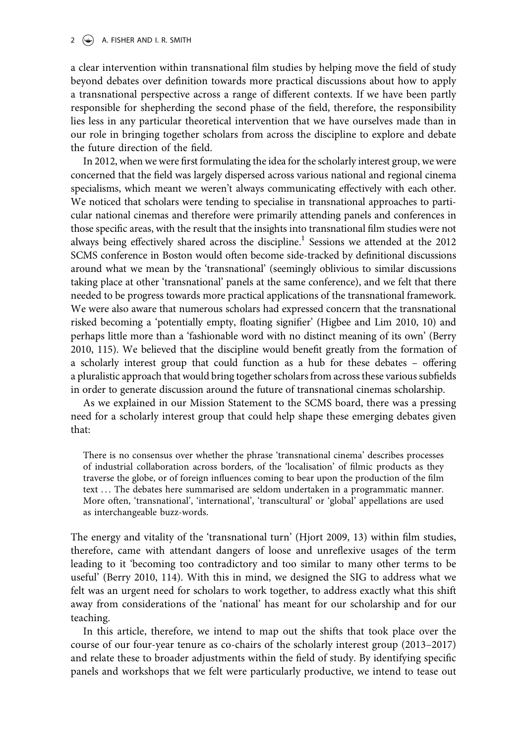a clear intervention within transnational film studies by helping move the field of study beyond debates over definition towards more practical discussions about how to apply a transnational perspective across a range of different contexts. If we have been partly responsible for shepherding the second phase of the field, therefore, the responsibility lies less in any particular theoretical intervention that we have ourselves made than in our role in bringing together scholars from across the discipline to explore and debate the future direction of the field.

In 2012, when we were first formulating the idea for the scholarly interest group, we were concerned that the field was largely dispersed across various national and regional cinema specialisms, which meant we weren't always communicating effectively with each other. We noticed that scholars were tending to specialise in transnational approaches to particular national cinemas and therefore were primarily attending panels and conferences in those specific areas, with the result that the insights into transnational film studies were not always being effectively shared across the discipline.<sup>1</sup> Sessions we attended at the 2012 SCMS conference in Boston would often become side-tracked by definitional discussions around what we mean by the 'transnational' (seemingly oblivious to similar discussions taking place at other 'transnational' panels at the same conference), and we felt that there needed to be progress towards more practical applications of the transnational framework. We were also aware that numerous scholars had expressed concern that the transnational risked becoming a 'potentially empty, floating signifier' (Higbee and Lim 2010, 10) and perhaps little more than a 'fashionable word with no distinct meaning of its own' (Berry 2010, 115). We believed that the discipline would benefit greatly from the formation of a scholarly interest group that could function as a hub for these debates – offering a pluralistic approach that would bring together scholars from across these various subfields in order to generate discussion around the future of transnational cinemas scholarship.

As we explained in our Mission Statement to the SCMS board, there was a pressing need for a scholarly interest group that could help shape these emerging debates given that:

There is no consensus over whether the phrase 'transnational cinema' describes processes of industrial collaboration across borders, of the 'localisation' of filmic products as they traverse the globe, or of foreign influences coming to bear upon the production of the film text . . . The debates here summarised are seldom undertaken in a programmatic manner. More often, 'transnational', 'international', 'transcultural' or 'global' appellations are used as interchangeable buzz-words.

The energy and vitality of the 'transnational turn' (Hjort 2009, 13) within film studies, therefore, came with attendant dangers of loose and unreflexive usages of the term leading to it 'becoming too contradictory and too similar to many other terms to be useful' (Berry 2010, 114). With this in mind, we designed the SIG to address what we felt was an urgent need for scholars to work together, to address exactly what this shift away from considerations of the 'national' has meant for our scholarship and for our teaching.

In this article, therefore, we intend to map out the shifts that took place over the course of our four-year tenure as co-chairs of the scholarly interest group (2013–2017) and relate these to broader adjustments within the field of study. By identifying specific panels and workshops that we felt were particularly productive, we intend to tease out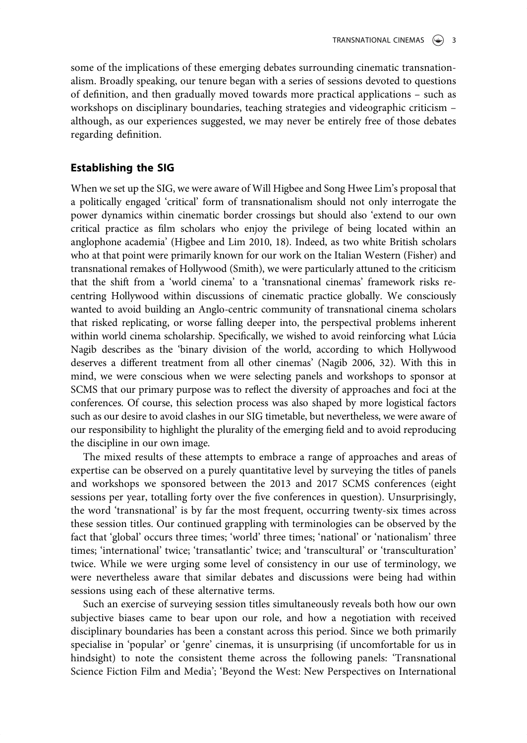some of the implications of these emerging debates surrounding cinematic transnationalism. Broadly speaking, our tenure began with a series of sessions devoted to questions of definition, and then gradually moved towards more practical applications – such as workshops on disciplinary boundaries, teaching strategies and videographic criticism – although, as our experiences suggested, we may never be entirely free of those debates regarding definition.

### Establishing the SIG

When we set up the SIG, we were aware of Will Higbee and Song Hwee Lim's proposal that a politically engaged 'critical' form of transnationalism should not only interrogate the power dynamics within cinematic border crossings but should also 'extend to our own critical practice as film scholars who enjoy the privilege of being located within an anglophone academia' (Higbee and Lim 2010, 18). Indeed, as two white British scholars who at that point were primarily known for our work on the Italian Western (Fisher) and transnational remakes of Hollywood (Smith), we were particularly attuned to the criticism that the shift from a 'world cinema' to a 'transnational cinemas' framework risks recentring Hollywood within discussions of cinematic practice globally. We consciously wanted to avoid building an Anglo-centric community of transnational cinema scholars that risked replicating, or worse falling deeper into, the perspectival problems inherent within world cinema scholarship. Specifically, we wished to avoid reinforcing what Lúcia Nagib describes as the 'binary division of the world, according to which Hollywood deserves a different treatment from all other cinemas' (Nagib 2006, 32). With this in mind, we were conscious when we were selecting panels and workshops to sponsor at SCMS that our primary purpose was to reflect the diversity of approaches and foci at the conferences. Of course, this selection process was also shaped by more logistical factors such as our desire to avoid clashes in our SIG timetable, but nevertheless, we were aware of our responsibility to highlight the plurality of the emerging field and to avoid reproducing the discipline in our own image.

The mixed results of these attempts to embrace a range of approaches and areas of expertise can be observed on a purely quantitative level by surveying the titles of panels and workshops we sponsored between the 2013 and 2017 SCMS conferences (eight sessions per year, totalling forty over the five conferences in question). Unsurprisingly, the word 'transnational' is by far the most frequent, occurring twenty-six times across these session titles. Our continued grappling with terminologies can be observed by the fact that 'global' occurs three times; 'world' three times; 'national' or 'nationalism' three times; 'international' twice; 'transatlantic' twice; and 'transcultural' or 'transculturation' twice. While we were urging some level of consistency in our use of terminology, we were nevertheless aware that similar debates and discussions were being had within sessions using each of these alternative terms.

Such an exercise of surveying session titles simultaneously reveals both how our own subjective biases came to bear upon our role, and how a negotiation with received disciplinary boundaries has been a constant across this period. Since we both primarily specialise in 'popular' or 'genre' cinemas, it is unsurprising (if uncomfortable for us in hindsight) to note the consistent theme across the following panels: 'Transnational Science Fiction Film and Media'; 'Beyond the West: New Perspectives on International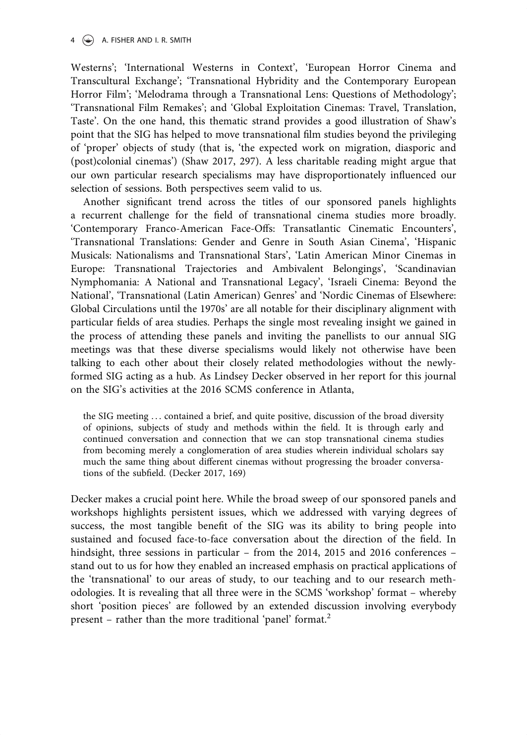### $4 \quad \circledast$  A. FISHER AND I. R. SMITH

Westerns'; 'International Westerns in Context', 'European Horror Cinema and Transcultural Exchange'; 'Transnational Hybridity and the Contemporary European Horror Film'; 'Melodrama through a Transnational Lens: Questions of Methodology'; 'Transnational Film Remakes'; and 'Global Exploitation Cinemas: Travel, Translation, Taste'. On the one hand, this thematic strand provides a good illustration of Shaw's point that the SIG has helped to move transnational film studies beyond the privileging of 'proper' objects of study (that is, 'the expected work on migration, diasporic and (post)colonial cinemas') (Shaw 2017, 297). A less charitable reading might argue that our own particular research specialisms may have disproportionately influenced our selection of sessions. Both perspectives seem valid to us.

Another significant trend across the titles of our sponsored panels highlights a recurrent challenge for the field of transnational cinema studies more broadly. 'Contemporary Franco-American Face-Offs: Transatlantic Cinematic Encounters', 'Transnational Translations: Gender and Genre in South Asian Cinema', 'Hispanic Musicals: Nationalisms and Transnational Stars', 'Latin American Minor Cinemas in Europe: Transnational Trajectories and Ambivalent Belongings', 'Scandinavian Nymphomania: A National and Transnational Legacy', 'Israeli Cinema: Beyond the National', 'Transnational (Latin American) Genres' and 'Nordic Cinemas of Elsewhere: Global Circulations until the 1970s' are all notable for their disciplinary alignment with particular fields of area studies. Perhaps the single most revealing insight we gained in the process of attending these panels and inviting the panellists to our annual SIG meetings was that these diverse specialisms would likely not otherwise have been talking to each other about their closely related methodologies without the newlyformed SIG acting as a hub. As Lindsey Decker observed in her report for this journal on the SIG's activities at the 2016 SCMS conference in Atlanta,

the SIG meeting ... contained a brief, and quite positive, discussion of the broad diversity of opinions, subjects of study and methods within the field. It is through early and continued conversation and connection that we can stop transnational cinema studies from becoming merely a conglomeration of area studies wherein individual scholars say much the same thing about different cinemas without progressing the broader conversations of the subfield. (Decker 2017, 169)

Decker makes a crucial point here. While the broad sweep of our sponsored panels and workshops highlights persistent issues, which we addressed with varying degrees of success, the most tangible benefit of the SIG was its ability to bring people into sustained and focused face-to-face conversation about the direction of the field. In hindsight, three sessions in particular – from the 2014, 2015 and 2016 conferences – stand out to us for how they enabled an increased emphasis on practical applications of the 'transnational' to our areas of study, to our teaching and to our research methodologies. It is revealing that all three were in the SCMS 'workshop' format – whereby short 'position pieces' are followed by an extended discussion involving everybody present – rather than the more traditional 'panel' format.<sup>2</sup>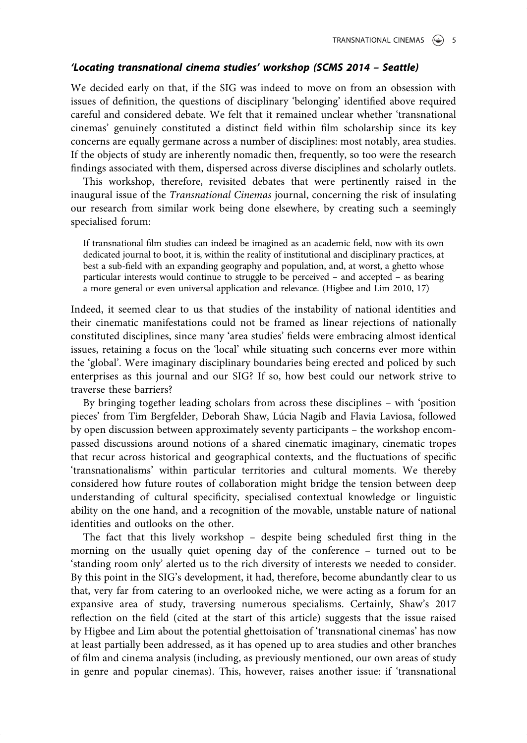### 'Locating transnational cinema studies' workshop (SCMS 2014 – Seattle)

We decided early on that, if the SIG was indeed to move on from an obsession with issues of definition, the questions of disciplinary 'belonging' identified above required careful and considered debate. We felt that it remained unclear whether 'transnational cinemas' genuinely constituted a distinct field within film scholarship since its key concerns are equally germane across a number of disciplines: most notably, area studies. If the objects of study are inherently nomadic then, frequently, so too were the research findings associated with them, dispersed across diverse disciplines and scholarly outlets.

This workshop, therefore, revisited debates that were pertinently raised in the inaugural issue of the Transnational Cinemas journal, concerning the risk of insulating our research from similar work being done elsewhere, by creating such a seemingly specialised forum:

If transnational film studies can indeed be imagined as an academic field, now with its own dedicated journal to boot, it is, within the reality of institutional and disciplinary practices, at best a sub-field with an expanding geography and population, and, at worst, a ghetto whose particular interests would continue to struggle to be perceived – and accepted – as bearing a more general or even universal application and relevance. (Higbee and Lim 2010, 17)

Indeed, it seemed clear to us that studies of the instability of national identities and their cinematic manifestations could not be framed as linear rejections of nationally constituted disciplines, since many 'area studies' fields were embracing almost identical issues, retaining a focus on the 'local' while situating such concerns ever more within the 'global'. Were imaginary disciplinary boundaries being erected and policed by such enterprises as this journal and our SIG? If so, how best could our network strive to traverse these barriers?

By bringing together leading scholars from across these disciplines – with 'position pieces' from Tim Bergfelder, Deborah Shaw, Lúcia Nagib and Flavia Laviosa, followed by open discussion between approximately seventy participants – the workshop encompassed discussions around notions of a shared cinematic imaginary, cinematic tropes that recur across historical and geographical contexts, and the fluctuations of specific 'transnationalisms' within particular territories and cultural moments. We thereby considered how future routes of collaboration might bridge the tension between deep understanding of cultural specificity, specialised contextual knowledge or linguistic ability on the one hand, and a recognition of the movable, unstable nature of national identities and outlooks on the other.

The fact that this lively workshop – despite being scheduled first thing in the morning on the usually quiet opening day of the conference – turned out to be 'standing room only' alerted us to the rich diversity of interests we needed to consider. By this point in the SIG's development, it had, therefore, become abundantly clear to us that, very far from catering to an overlooked niche, we were acting as a forum for an expansive area of study, traversing numerous specialisms. Certainly, Shaw's 2017 reflection on the field (cited at the start of this article) suggests that the issue raised by Higbee and Lim about the potential ghettoisation of 'transnational cinemas' has now at least partially been addressed, as it has opened up to area studies and other branches of film and cinema analysis (including, as previously mentioned, our own areas of study in genre and popular cinemas). This, however, raises another issue: if 'transnational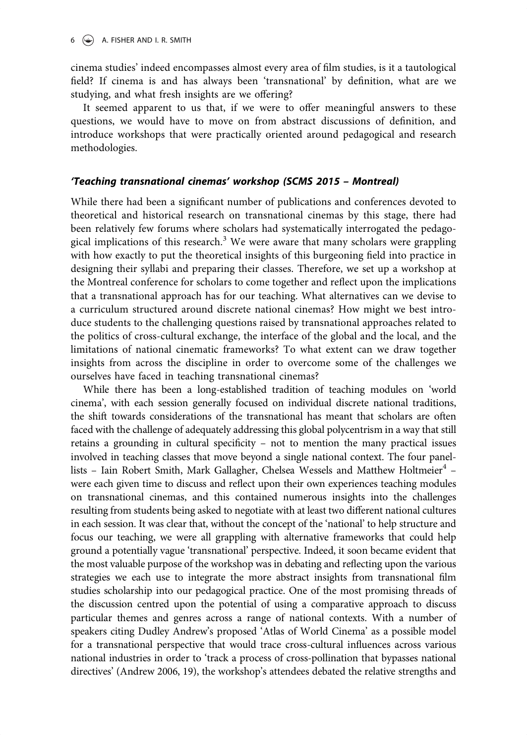cinema studies' indeed encompasses almost every area of film studies, is it a tautological field? If cinema is and has always been 'transnational' by definition, what are we studying, and what fresh insights are we offering?

It seemed apparent to us that, if we were to offer meaningful answers to these questions, we would have to move on from abstract discussions of definition, and introduce workshops that were practically oriented around pedagogical and research methodologies.

### 'Teaching transnational cinemas' workshop (SCMS 2015 – Montreal)

While there had been a significant number of publications and conferences devoted to theoretical and historical research on transnational cinemas by this stage, there had been relatively few forums where scholars had systematically interrogated the pedagogical implications of this research.<sup>3</sup> We were aware that many scholars were grappling with how exactly to put the theoretical insights of this burgeoning field into practice in designing their syllabi and preparing their classes. Therefore, we set up a workshop at the Montreal conference for scholars to come together and reflect upon the implications that a transnational approach has for our teaching. What alternatives can we devise to a curriculum structured around discrete national cinemas? How might we best introduce students to the challenging questions raised by transnational approaches related to the politics of cross-cultural exchange, the interface of the global and the local, and the limitations of national cinematic frameworks? To what extent can we draw together insights from across the discipline in order to overcome some of the challenges we ourselves have faced in teaching transnational cinemas?

While there has been a long-established tradition of teaching modules on 'world cinema', with each session generally focused on individual discrete national traditions, the shift towards considerations of the transnational has meant that scholars are often faced with the challenge of adequately addressing this global polycentrism in a way that still retains a grounding in cultural specificity – not to mention the many practical issues involved in teaching classes that move beyond a single national context. The four panellists - Iain Robert Smith, Mark Gallagher, Chelsea Wessels and Matthew Holtmeier<sup>4</sup> were each given time to discuss and reflect upon their own experiences teaching modules on transnational cinemas, and this contained numerous insights into the challenges resulting from students being asked to negotiate with at least two different national cultures in each session. It was clear that, without the concept of the 'national' to help structure and focus our teaching, we were all grappling with alternative frameworks that could help ground a potentially vague 'transnational' perspective. Indeed, it soon became evident that the most valuable purpose of the workshop was in debating and reflecting upon the various strategies we each use to integrate the more abstract insights from transnational film studies scholarship into our pedagogical practice. One of the most promising threads of the discussion centred upon the potential of using a comparative approach to discuss particular themes and genres across a range of national contexts. With a number of speakers citing Dudley Andrew's proposed 'Atlas of World Cinema' as a possible model for a transnational perspective that would trace cross-cultural influences across various national industries in order to 'track a process of cross-pollination that bypasses national directives' (Andrew 2006, 19), the workshop's attendees debated the relative strengths and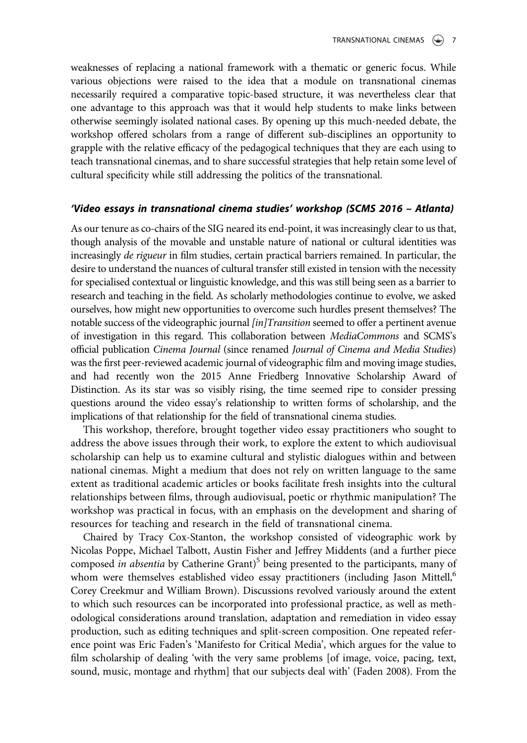weaknesses of replacing a national framework with a thematic or generic focus. While various objections were raised to the idea that a module on transnational cinemas necessarily required a comparative topic-based structure, it was nevertheless clear that one advantage to this approach was that it would help students to make links between otherwise seemingly isolated national cases. By opening up this much-needed debate, the workshop offered scholars from a range of different sub-disciplines an opportunity to grapple with the relative efficacy of the pedagogical techniques that they are each using to teach transnational cinemas, and to share successful strategies that help retain some level of cultural specificity while still addressing the politics of the transnational.

#### 'Video essays in transnational cinema studies' workshop (SCMS 2016 – Atlanta)

As our tenure as co-chairs of the SIG neared its end-point, it was increasingly clear to us that, though analysis of the movable and unstable nature of national or cultural identities was increasingly de rigueur in film studies, certain practical barriers remained. In particular, the desire to understand the nuances of cultural transfer still existed in tension with the necessity for specialised contextual or linguistic knowledge, and this was still being seen as a barrier to research and teaching in the field. As scholarly methodologies continue to evolve, we asked ourselves, how might new opportunities to overcome such hurdles present themselves? The notable success of the videographic journal [in]Transition seemed to offer a pertinent avenue of investigation in this regard. This collaboration between MediaCommons and SCMS's official publication Cinema Journal (since renamed Journal of Cinema and Media Studies) was the first peer-reviewed academic journal of videographic film and moving image studies, and had recently won the 2015 Anne Friedberg Innovative Scholarship Award of Distinction. As its star was so visibly rising, the time seemed ripe to consider pressing questions around the video essay's relationship to written forms of scholarship, and the implications of that relationship for the field of transnational cinema studies.

This workshop, therefore, brought together video essay practitioners who sought to address the above issues through their work, to explore the extent to which audiovisual scholarship can help us to examine cultural and stylistic dialogues within and between national cinemas. Might a medium that does not rely on written language to the same extent as traditional academic articles or books facilitate fresh insights into the cultural relationships between films, through audiovisual, poetic or rhythmic manipulation? The workshop was practical in focus, with an emphasis on the development and sharing of resources for teaching and research in the field of transnational cinema.

Chaired by Tracy Cox-Stanton, the workshop consisted of videographic work by Nicolas Poppe, Michael Talbott, Austin Fisher and Jeffrey Middents (and a further piece composed in absentia by Catherine Grant)<sup>5</sup> being presented to the participants, many of whom were themselves established video essay practitioners (including Jason Mittell,<sup>6</sup> Corey Creekmur and William Brown). Discussions revolved variously around the extent to which such resources can be incorporated into professional practice, as well as methodological considerations around translation, adaptation and remediation in video essay production, such as editing techniques and split-screen composition. One repeated reference point was Eric Faden's 'Manifesto for Critical Media', which argues for the value to film scholarship of dealing 'with the very same problems [of image, voice, pacing, text, sound, music, montage and rhythm] that our subjects deal with' (Faden 2008). From the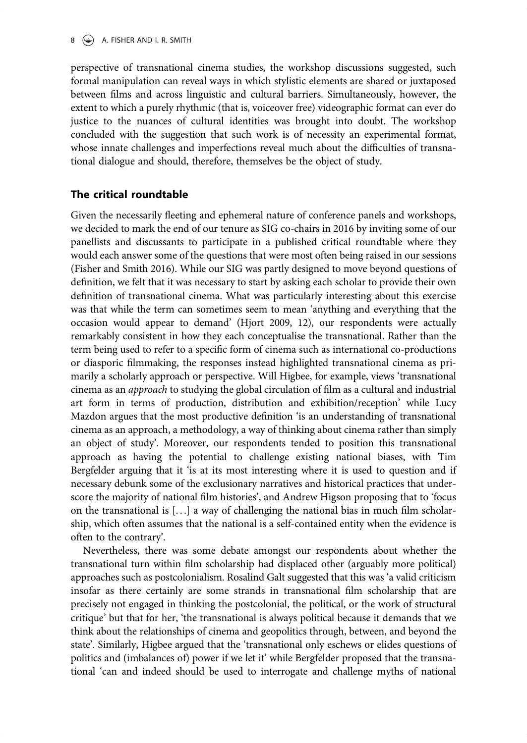perspective of transnational cinema studies, the workshop discussions suggested, such formal manipulation can reveal ways in which stylistic elements are shared or juxtaposed between films and across linguistic and cultural barriers. Simultaneously, however, the extent to which a purely rhythmic (that is, voiceover free) videographic format can ever do justice to the nuances of cultural identities was brought into doubt. The workshop concluded with the suggestion that such work is of necessity an experimental format, whose innate challenges and imperfections reveal much about the difficulties of transnational dialogue and should, therefore, themselves be the object of study.

## The critical roundtable

Given the necessarily fleeting and ephemeral nature of conference panels and workshops, we decided to mark the end of our tenure as SIG co-chairs in 2016 by inviting some of our panellists and discussants to participate in a published critical roundtable where they would each answer some of the questions that were most often being raised in our sessions (Fisher and Smith 2016). While our SIG was partly designed to move beyond questions of definition, we felt that it was necessary to start by asking each scholar to provide their own definition of transnational cinema. What was particularly interesting about this exercise was that while the term can sometimes seem to mean 'anything and everything that the occasion would appear to demand' (Hjort 2009, 12), our respondents were actually remarkably consistent in how they each conceptualise the transnational. Rather than the term being used to refer to a specific form of cinema such as international co-productions or diasporic filmmaking, the responses instead highlighted transnational cinema as primarily a scholarly approach or perspective. Will Higbee, for example, views 'transnational cinema as an approach to studying the global circulation of film as a cultural and industrial art form in terms of production, distribution and exhibition/reception' while Lucy Mazdon argues that the most productive definition 'is an understanding of transnational cinema as an approach, a methodology, a way of thinking about cinema rather than simply an object of study'. Moreover, our respondents tended to position this transnational approach as having the potential to challenge existing national biases, with Tim Bergfelder arguing that it 'is at its most interesting where it is used to question and if necessary debunk some of the exclusionary narratives and historical practices that underscore the majority of national film histories', and Andrew Higson proposing that to 'focus on the transnational is [. . .] a way of challenging the national bias in much film scholarship, which often assumes that the national is a self-contained entity when the evidence is often to the contrary'.

Nevertheless, there was some debate amongst our respondents about whether the transnational turn within film scholarship had displaced other (arguably more political) approaches such as postcolonialism. Rosalind Galt suggested that this was 'a valid criticism insofar as there certainly are some strands in transnational film scholarship that are precisely not engaged in thinking the postcolonial, the political, or the work of structural critique' but that for her, 'the transnational is always political because it demands that we think about the relationships of cinema and geopolitics through, between, and beyond the state'. Similarly, Higbee argued that the 'transnational only eschews or elides questions of politics and (imbalances of) power if we let it' while Bergfelder proposed that the transnational 'can and indeed should be used to interrogate and challenge myths of national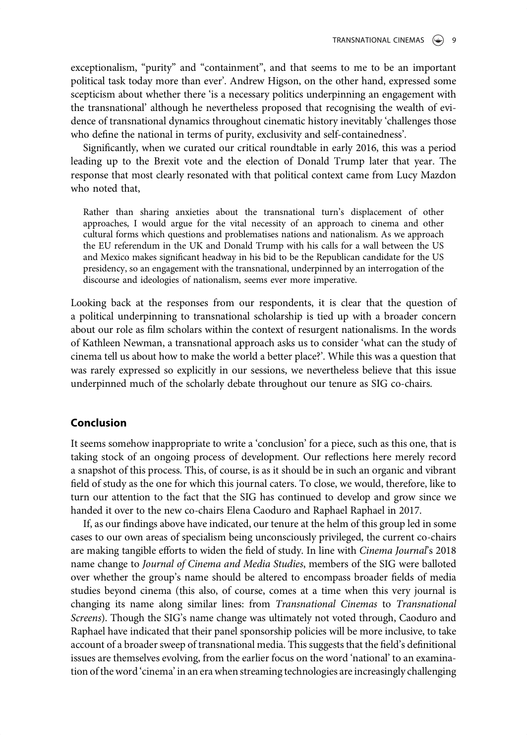exceptionalism, "purity" and "containment", and that seems to me to be an important political task today more than ever'. Andrew Higson, on the other hand, expressed some scepticism about whether there 'is a necessary politics underpinning an engagement with the transnational' although he nevertheless proposed that recognising the wealth of evidence of transnational dynamics throughout cinematic history inevitably 'challenges those who define the national in terms of purity, exclusivity and self-containedness'.

Significantly, when we curated our critical roundtable in early 2016, this was a period leading up to the Brexit vote and the election of Donald Trump later that year. The response that most clearly resonated with that political context came from Lucy Mazdon who noted that,

Rather than sharing anxieties about the transnational turn's displacement of other approaches, I would argue for the vital necessity of an approach to cinema and other cultural forms which questions and problematises nations and nationalism. As we approach the EU referendum in the UK and Donald Trump with his calls for a wall between the US and Mexico makes significant headway in his bid to be the Republican candidate for the US presidency, so an engagement with the transnational, underpinned by an interrogation of the discourse and ideologies of nationalism, seems ever more imperative.

Looking back at the responses from our respondents, it is clear that the question of a political underpinning to transnational scholarship is tied up with a broader concern about our role as film scholars within the context of resurgent nationalisms. In the words of Kathleen Newman, a transnational approach asks us to consider 'what can the study of cinema tell us about how to make the world a better place?'. While this was a question that was rarely expressed so explicitly in our sessions, we nevertheless believe that this issue underpinned much of the scholarly debate throughout our tenure as SIG co-chairs.

### Conclusion

It seems somehow inappropriate to write a 'conclusion' for a piece, such as this one, that is taking stock of an ongoing process of development. Our reflections here merely record a snapshot of this process. This, of course, is as it should be in such an organic and vibrant field of study as the one for which this journal caters. To close, we would, therefore, like to turn our attention to the fact that the SIG has continued to develop and grow since we handed it over to the new co-chairs Elena Caoduro and Raphael Raphael in 2017.

If, as our findings above have indicated, our tenure at the helm of this group led in some cases to our own areas of specialism being unconsciously privileged, the current co-chairs are making tangible efforts to widen the field of study. In line with Cinema Journal's 2018 name change to Journal of Cinema and Media Studies, members of the SIG were balloted over whether the group's name should be altered to encompass broader fields of media studies beyond cinema (this also, of course, comes at a time when this very journal is changing its name along similar lines: from Transnational Cinemas to Transnational Screens). Though the SIG's name change was ultimately not voted through, Caoduro and Raphael have indicated that their panel sponsorship policies will be more inclusive, to take account of a broader sweep of transnational media. This suggests that the field's definitional issues are themselves evolving, from the earlier focus on the word 'national' to an examination of the word 'cinema' in an era when streaming technologies are increasingly challenging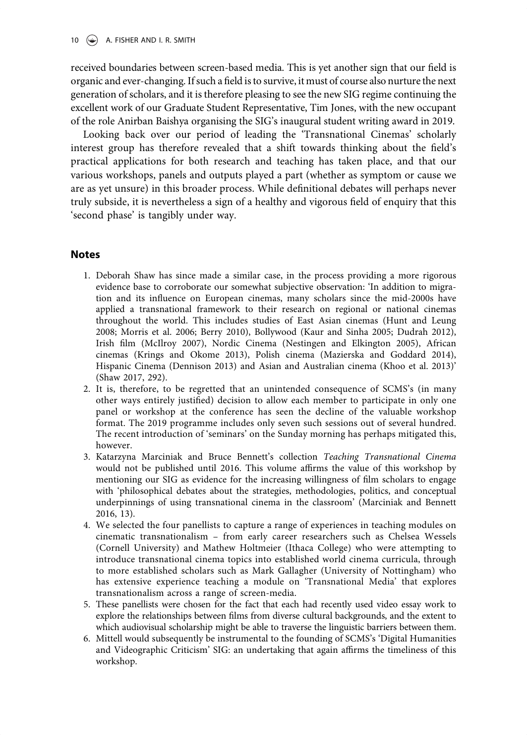10  $\left(\frac{1}{2}\right)$  A. FISHER AND I. R. SMITH

received boundaries between screen-based media. This is yet another sign that our field is organic and ever-changing. If such a field is to survive, it must of course also nurture the next generation of scholars, and it is therefore pleasing to see the new SIG regime continuing the excellent work of our Graduate Student Representative, Tim Jones, with the new occupant of the role Anirban Baishya organising the SIG's inaugural student writing award in 2019.

Looking back over our period of leading the 'Transnational Cinemas' scholarly interest group has therefore revealed that a shift towards thinking about the field's practical applications for both research and teaching has taken place, and that our various workshops, panels and outputs played a part (whether as symptom or cause we are as yet unsure) in this broader process. While definitional debates will perhaps never truly subside, it is nevertheless a sign of a healthy and vigorous field of enquiry that this 'second phase' is tangibly under way.

### Notes

- 1. Deborah Shaw has since made a similar case, in the process providing a more rigorous evidence base to corroborate our somewhat subjective observation: 'In addition to migration and its influence on European cinemas, many scholars since the mid-2000s have applied a transnational framework to their research on regional or national cinemas throughout the world. This includes studies of East Asian cinemas (Hunt and Leung 2008; Morris et al. 2006; Berry 2010), Bollywood (Kaur and Sinha 2005; Dudrah 2012), Irish film (McIlroy 2007), Nordic Cinema (Nestingen and Elkington 2005), African cinemas (Krings and Okome 2013), Polish cinema (Mazierska and Goddard 2014), Hispanic Cinema (Dennison 2013) and Asian and Australian cinema (Khoo et al. 2013)' (Shaw 2017, 292).
- 2. It is, therefore, to be regretted that an unintended consequence of SCMS's (in many other ways entirely justified) decision to allow each member to participate in only one panel or workshop at the conference has seen the decline of the valuable workshop format. The 2019 programme includes only seven such sessions out of several hundred. The recent introduction of 'seminars' on the Sunday morning has perhaps mitigated this, however.
- 3. Katarzyna Marciniak and Bruce Bennett's collection Teaching Transnational Cinema would not be published until 2016. This volume affirms the value of this workshop by mentioning our SIG as evidence for the increasing willingness of film scholars to engage with 'philosophical debates about the strategies, methodologies, politics, and conceptual underpinnings of using transnational cinema in the classroom' (Marciniak and Bennett 2016, 13).
- 4. We selected the four panellists to capture a range of experiences in teaching modules on cinematic transnationalism – from early career researchers such as Chelsea Wessels (Cornell University) and Mathew Holtmeier (Ithaca College) who were attempting to introduce transnational cinema topics into established world cinema curricula, through to more established scholars such as Mark Gallagher (University of Nottingham) who has extensive experience teaching a module on 'Transnational Media' that explores transnationalism across a range of screen-media.
- 5. These panellists were chosen for the fact that each had recently used video essay work to explore the relationships between films from diverse cultural backgrounds, and the extent to which audiovisual scholarship might be able to traverse the linguistic barriers between them.
- 6. Mittell would subsequently be instrumental to the founding of SCMS's 'Digital Humanities and Videographic Criticism' SIG: an undertaking that again affirms the timeliness of this workshop.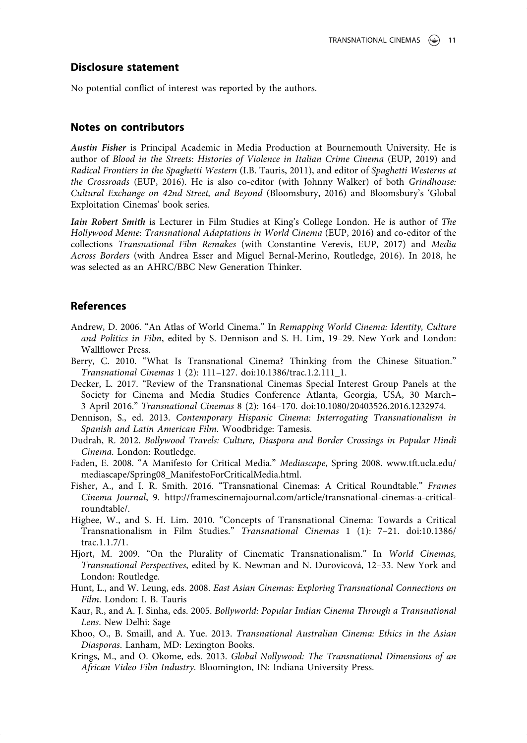### Disclosure statement

No potential conflict of interest was reported by the authors.

### Notes on contributors

Austin Fisher is Principal Academic in Media Production at Bournemouth University. He is author of Blood in the Streets: Histories of Violence in Italian Crime Cinema (EUP, 2019) and Radical Frontiers in the Spaghetti Western (I.B. Tauris, 2011), and editor of Spaghetti Westerns at the Crossroads (EUP, 2016). He is also co-editor (with Johnny Walker) of both Grindhouse: Cultural Exchange on 42nd Street, and Beyond (Bloomsbury, 2016) and Bloomsbury's 'Global Exploitation Cinemas' book series.

Iain Robert Smith is Lecturer in Film Studies at King's College London. He is author of The Hollywood Meme: Transnational Adaptations in World Cinema (EUP, 2016) and co-editor of the collections Transnational Film Remakes (with Constantine Verevis, EUP, 2017) and Media Across Borders (with Andrea Esser and Miguel Bernal-Merino, Routledge, 2016). In 2018, he was selected as an AHRC/BBC New Generation Thinker.

### References

- Andrew, D. 2006. "An Atlas of World Cinema." In Remapping World Cinema: Identity, Culture and Politics in Film, edited by S. Dennison and S. H. Lim, 19–29. New York and London: Wallflower Press.
- Berry, C. 2010. "What Is Transnational Cinema? Thinking from the Chinese Situation." Transnational Cinemas 1 (2): 111–127. doi:[10.1386/trac.1.2.111\\_1.](https://doi.org/10.1386/trac.1.2.111_1)
- Decker, L. 2017. "Review of the Transnational Cinemas Special Interest Group Panels at the Society for Cinema and Media Studies Conference Atlanta, Georgia, USA, 30 March– 3 April 2016." Transnational Cinemas 8 (2): 164–170. doi:[10.1080/20403526.2016.1232974.](https://doi.org/10.1080/20403526.2016.1232974)
- Dennison, S., ed. 2013. Contemporary Hispanic Cinema: Interrogating Transnationalism in Spanish and Latin American Film. Woodbridge: Tamesis.
- Dudrah, R. 2012. Bollywood Travels: Culture, Diaspora and Border Crossings in Popular Hindi Cinema. London: Routledge.
- Faden, E. 2008. "A Manifesto for Critical Media." Mediascape, Spring 2008. [www.tft.ucla.edu/](http://www.tft.ucla.edu/mediascape/Spring08_ManifestoForCriticalMedia.html) [mediascape/Spring08\\_ManifestoForCriticalMedia.html.](http://www.tft.ucla.edu/mediascape/Spring08_ManifestoForCriticalMedia.html)
- Fisher, A., and I. R. Smith. 2016. "Transnational Cinemas: A Critical Roundtable." Frames Cinema Journal, 9. [http://framescinemajournal.com/article/transnational-cinemas-a-critical](http://framescinemajournal.com/article/transnational-cinemas-a-critical-roundtable/)[roundtable/.](http://framescinemajournal.com/article/transnational-cinemas-a-critical-roundtable/)
- Higbee, W., and S. H. Lim. 2010. "Concepts of Transnational Cinema: Towards a Critical Transnationalism in Film Studies." Transnational Cinemas 1 (1): 7–21. doi:[10.1386/](https://doi.org/10.1386/trac.1.1.7/1) [trac.1.1.7/1](https://doi.org/10.1386/trac.1.1.7/1).
- Hjort, M. 2009. "On the Plurality of Cinematic Transnationalism." In World Cinemas, Transnational Perspectives, edited by K. Newman and N. Durovicová, 12–33. New York and London: Routledge.
- Hunt, L., and W. Leung, eds. 2008. East Asian Cinemas: Exploring Transnational Connections on Film. London: I. B. Tauris
- Kaur, R., and A. J. Sinha, eds. 2005. Bollyworld: Popular Indian Cinema Through a Transnational Lens. New Delhi: Sage
- Khoo, O., B. Smaill, and A. Yue. 2013. Transnational Australian Cinema: Ethics in the Asian Diasporas. Lanham, MD: Lexington Books.
- Krings, M., and O. Okome, eds. 2013. Global Nollywood: The Transnational Dimensions of an African Video Film Industry. Bloomington, IN: Indiana University Press.